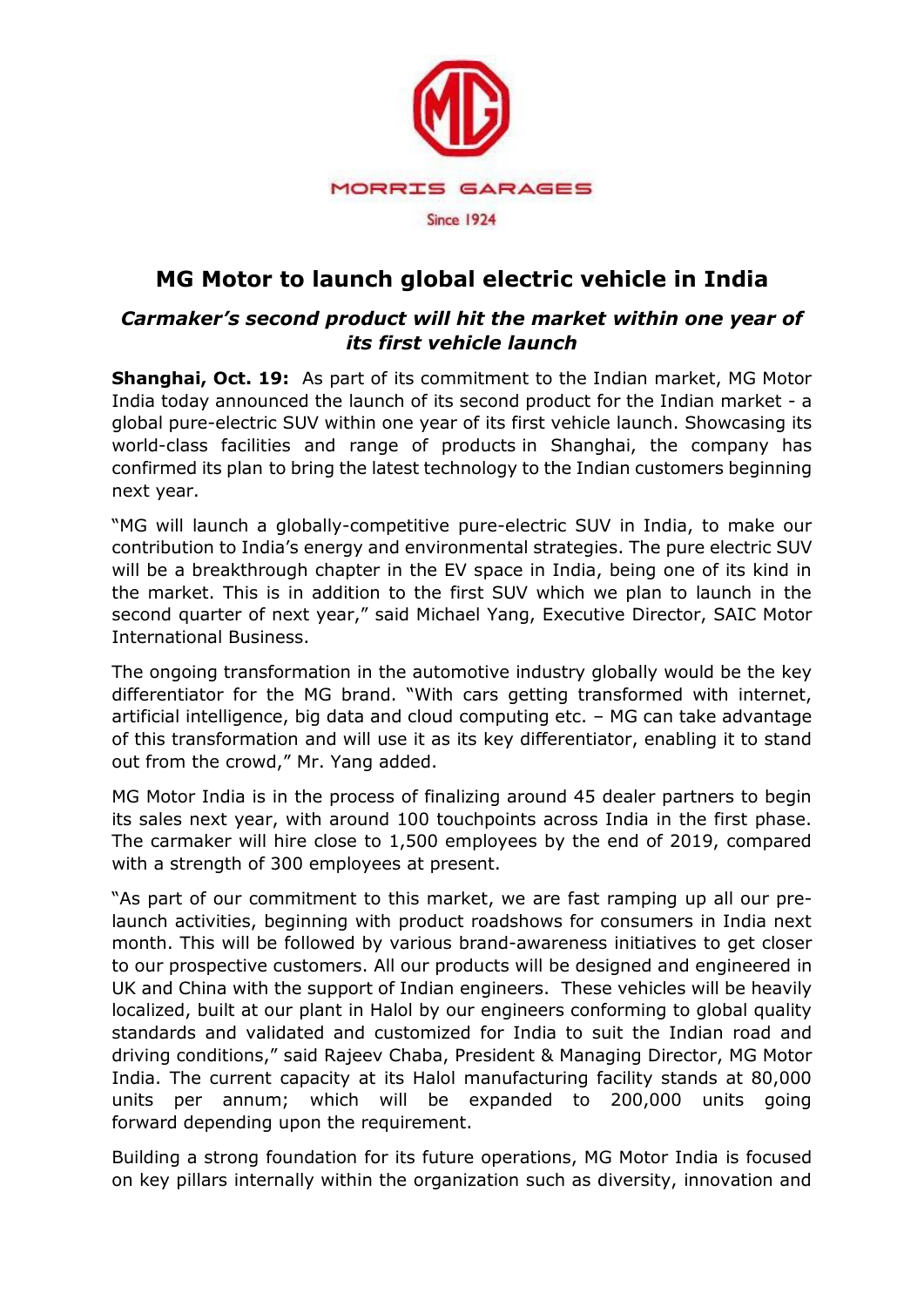

# **MG Motor to launch global electric vehicle in India**

# *Carmaker's second product will hit the market within one year of its first vehicle launch*

**Shanghai, Oct. 19:** As part of its commitment to the Indian market, MG Motor India today announced the launch of its second product for the Indian market - a global pure-electric SUV within one year of its first vehicle launch. Showcasing its world-class facilities and range of products in Shanghai, the company has confirmed its plan to bring the latest technology to the Indian customers beginning next year.

"MG will launch a globally-competitive pure-electric SUV in India, to make our contribution to India's energy and environmental strategies. The pure electric SUV will be a breakthrough chapter in the EV space in India, being one of its kind in the market. This is in addition to the first SUV which we plan to launch in the second quarter of next year," said Michael Yang, Executive Director, SAIC Motor International Business.

The ongoing transformation in the automotive industry globally would be the key differentiator for the MG brand. "With cars getting transformed with internet, artificial intelligence, big data and cloud computing etc. – MG can take advantage of this transformation and will use it as its key differentiator, enabling it to stand out from the crowd," Mr. Yang added.

MG Motor India is in the process of finalizing around 45 dealer partners to begin its sales next year, with around 100 touchpoints across India in the first phase. The carmaker will hire close to 1,500 employees by the end of 2019, compared with a strength of 300 employees at present.

"As part of our commitment to this market, we are fast ramping up all our prelaunch activities, beginning with product roadshows for consumers in India next month. This will be followed by various brand-awareness initiatives to get closer to our prospective customers. All our products will be designed and engineered in UK and China with the support of Indian engineers. These vehicles will be heavily localized, built at our plant in Halol by our engineers conforming to global quality standards and validated and customized for India to suit the Indian road and driving conditions," said Rajeev Chaba, President & Managing Director, MG Motor India. The current capacity at its Halol manufacturing facility stands at 80,000 units per annum; which will be expanded to 200,000 units going forward depending upon the requirement.

Building a strong foundation for its future operations, MG Motor India is focused on key pillars internally within the organization such as diversity, innovation and